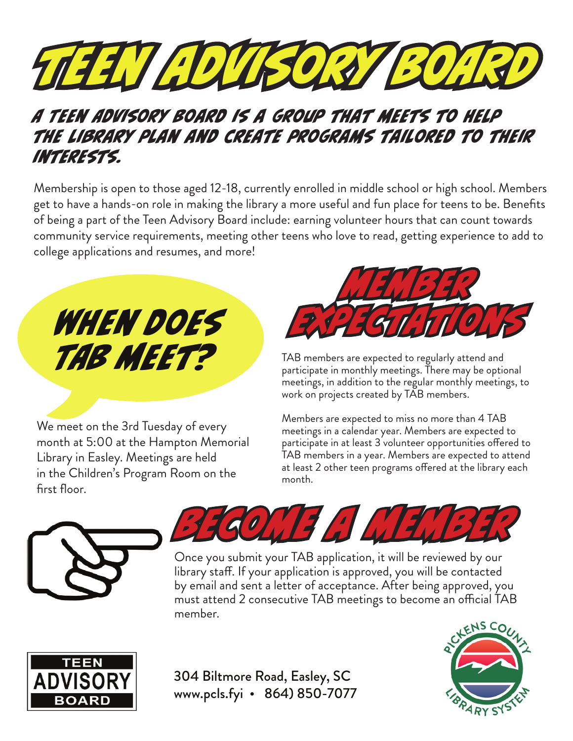

## A Teen Advisory Board is a group that meets to help the library plan and create programs tailored to their interests.

Membership is open to those aged 12-18, currently enrolled in middle school or high school. Members get to have a hands-on role in making the library a more useful and fun place for teens to be. Benefits of being a part of the Teen Advisory Board include: earning volunteer hours that can count towards community service requirements, meeting other teens who love to read, getting experience to add to college applications and resumes, and more!

When does TAB MEET?

We meet on the 3rd Tuesday of every month at 5:00 at the Hampton Memorial Library in Easley. Meetings are held in the Children's Program Room on the first floor.



TAB members are expected to regularly attend and participate in monthly meetings. There may be optional meetings, in addition to the regular monthly meetings, to work on projects created by TAB members.

Members are expected to miss no more than 4 TAB meetings in a calendar year. Members are expected to participate in at least 3 volunteer opportunities offered to TAB members in a year. Members are expected to attend at least 2 other teen programs offered at the library each month.





Once you submit your TAB application, it will be reviewed by our library staff. If your application is approved, you will be contacted by email and sent a letter of acceptance. After being approved, you must attend 2 consecutive TAB meetings to become an official TAB member.



304 Biltmore Road, Easley, SC www.pcls.fyi • 864) 850-7077